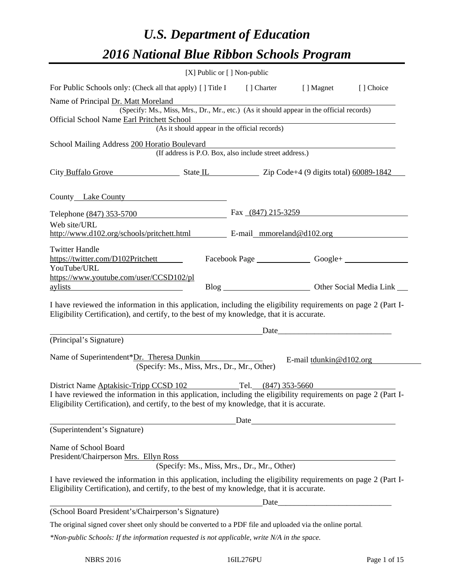# *U.S. Department of Education 2016 National Blue Ribbon Schools Program*

|                                                                                                                                                                                                                                                                            | [X] Public or [] Non-public                   |                                                                                          |                         |  |
|----------------------------------------------------------------------------------------------------------------------------------------------------------------------------------------------------------------------------------------------------------------------------|-----------------------------------------------|------------------------------------------------------------------------------------------|-------------------------|--|
| For Public Schools only: (Check all that apply) [] Title I [] Charter [] Magnet [] Choice                                                                                                                                                                                  |                                               |                                                                                          |                         |  |
| Name of Principal Dr. Matt Moreland<br>Official School Name Earl Pritchett School                                                                                                                                                                                          | (As it should appear in the official records) | (Specify: Ms., Miss, Mrs., Dr., Mr., etc.) (As it should appear in the official records) |                         |  |
| School Mailing Address 200 Horatio Boulevard                                                                                                                                                                                                                               |                                               | (If address is P.O. Box, also include street address.)                                   |                         |  |
| City Buffalo Grove State IL Zip Code+4 (9 digits total) 60089-1842                                                                                                                                                                                                         |                                               |                                                                                          |                         |  |
| County Lake County                                                                                                                                                                                                                                                         |                                               |                                                                                          |                         |  |
| Telephone (847) 353-5700                                                                                                                                                                                                                                                   |                                               | Fax $(847)$ 215-3259                                                                     |                         |  |
| Web site/URL<br>http://www.d102.org/schools/pritchett.html E-mail_mmoreland@d102.org                                                                                                                                                                                       |                                               |                                                                                          |                         |  |
| <b>Twitter Handle</b><br>https://twitter.com/D102Pritchett<br>YouTube/URL                                                                                                                                                                                                  |                                               |                                                                                          |                         |  |
| https://www.youtube.com/user/CCSD102/pl<br>aylists and the contract of the contract of the contract of the contract of the contract of the contract of the contract of the contract of the contract of the contract of the contract of the contract of the contract of th  |                                               |                                                                                          |                         |  |
| I have reviewed the information in this application, including the eligibility requirements on page 2 (Part I-<br>Eligibility Certification), and certify, to the best of my knowledge, that it is accurate.                                                               |                                               |                                                                                          |                         |  |
| (Principal's Signature)                                                                                                                                                                                                                                                    |                                               |                                                                                          |                         |  |
| Name of Superintendent*Dr. Theresa Dunkin                                                                                                                                                                                                                                  | (Specify: Ms., Miss, Mrs., Dr., Mr., Other)   |                                                                                          | E-mail tdunkin@d102.org |  |
| District Name Aptakisic-Tripp CCSD 102 Tel. (847) 353-5660<br>I have reviewed the information in this application, including the eligibility requirements on page 2 (Part I-<br>Eligibility Certification), and certify, to the best of my knowledge, that it is accurate. |                                               |                                                                                          |                         |  |
| (Superintendent's Signature)                                                                                                                                                                                                                                               |                                               |                                                                                          | Date                    |  |
| Name of School Board<br>President/Chairperson Mrs. Ellyn Ross                                                                                                                                                                                                              |                                               | (Specify: Ms., Miss, Mrs., Dr., Mr., Other)                                              |                         |  |
| I have reviewed the information in this application, including the eligibility requirements on page 2 (Part I-<br>Eligibility Certification), and certify, to the best of my knowledge, that it is accurate.                                                               |                                               |                                                                                          |                         |  |
| (School Board President's/Chairperson's Signature)                                                                                                                                                                                                                         |                                               |                                                                                          | $\text{Date}$           |  |
|                                                                                                                                                                                                                                                                            |                                               |                                                                                          |                         |  |
| The original signed cover sheet only should be converted to a PDF file and uploaded via the online portal.<br>*Non-public Schools: If the information requested is not applicable, write N/A in the space.                                                                 |                                               |                                                                                          |                         |  |
|                                                                                                                                                                                                                                                                            |                                               |                                                                                          |                         |  |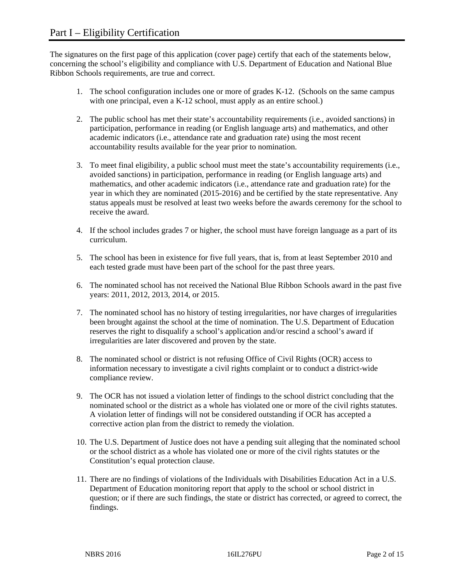The signatures on the first page of this application (cover page) certify that each of the statements below, concerning the school's eligibility and compliance with U.S. Department of Education and National Blue Ribbon Schools requirements, are true and correct.

- 1. The school configuration includes one or more of grades K-12. (Schools on the same campus with one principal, even a K-12 school, must apply as an entire school.)
- 2. The public school has met their state's accountability requirements (i.e., avoided sanctions) in participation, performance in reading (or English language arts) and mathematics, and other academic indicators (i.e., attendance rate and graduation rate) using the most recent accountability results available for the year prior to nomination.
- 3. To meet final eligibility, a public school must meet the state's accountability requirements (i.e., avoided sanctions) in participation, performance in reading (or English language arts) and mathematics, and other academic indicators (i.e., attendance rate and graduation rate) for the year in which they are nominated (2015-2016) and be certified by the state representative. Any status appeals must be resolved at least two weeks before the awards ceremony for the school to receive the award.
- 4. If the school includes grades 7 or higher, the school must have foreign language as a part of its curriculum.
- 5. The school has been in existence for five full years, that is, from at least September 2010 and each tested grade must have been part of the school for the past three years.
- 6. The nominated school has not received the National Blue Ribbon Schools award in the past five years: 2011, 2012, 2013, 2014, or 2015.
- 7. The nominated school has no history of testing irregularities, nor have charges of irregularities been brought against the school at the time of nomination. The U.S. Department of Education reserves the right to disqualify a school's application and/or rescind a school's award if irregularities are later discovered and proven by the state.
- 8. The nominated school or district is not refusing Office of Civil Rights (OCR) access to information necessary to investigate a civil rights complaint or to conduct a district-wide compliance review.
- 9. The OCR has not issued a violation letter of findings to the school district concluding that the nominated school or the district as a whole has violated one or more of the civil rights statutes. A violation letter of findings will not be considered outstanding if OCR has accepted a corrective action plan from the district to remedy the violation.
- 10. The U.S. Department of Justice does not have a pending suit alleging that the nominated school or the school district as a whole has violated one or more of the civil rights statutes or the Constitution's equal protection clause.
- 11. There are no findings of violations of the Individuals with Disabilities Education Act in a U.S. Department of Education monitoring report that apply to the school or school district in question; or if there are such findings, the state or district has corrected, or agreed to correct, the findings.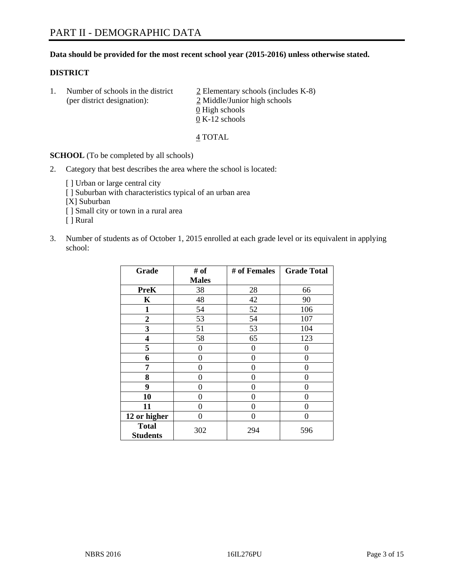# **Data should be provided for the most recent school year (2015-2016) unless otherwise stated.**

# **DISTRICT**

1. Number of schools in the district  $\frac{2}{2}$  Elementary schools (includes K-8) (per district designation): 2 Middle/Junior high schools 0 High schools 0 K-12 schools

## 4 TOTAL

**SCHOOL** (To be completed by all schools)

- 2. Category that best describes the area where the school is located:
	- [] Urban or large central city [ ] Suburban with characteristics typical of an urban area [X] Suburban [ ] Small city or town in a rural area [ ] Rural
- 3. Number of students as of October 1, 2015 enrolled at each grade level or its equivalent in applying school:

| Grade                           | # of         | # of Females | <b>Grade Total</b> |
|---------------------------------|--------------|--------------|--------------------|
|                                 | <b>Males</b> |              |                    |
| <b>PreK</b>                     | 38           | 28           | 66                 |
| $\mathbf K$                     | 48           | 42           | 90                 |
| $\mathbf{1}$                    | 54           | 52           | 106                |
| $\overline{2}$                  | 53           | 54           | 107                |
| 3                               | 51           | 53           | 104                |
| 4                               | 58           | 65           | 123                |
| 5                               | 0            | 0            | 0                  |
| 6                               | 0            | $\theta$     | 0                  |
| 7                               | 0            | $\theta$     | 0                  |
| 8                               | $\theta$     | $\theta$     | 0                  |
| 9                               | 0            | 0            | 0                  |
| 10                              | 0            | 0            | 0                  |
| 11                              | 0            | 0            | $\Omega$           |
| 12 or higher                    | 0            | 0            | $\Omega$           |
| <b>Total</b><br><b>Students</b> | 302          | 294          | 596                |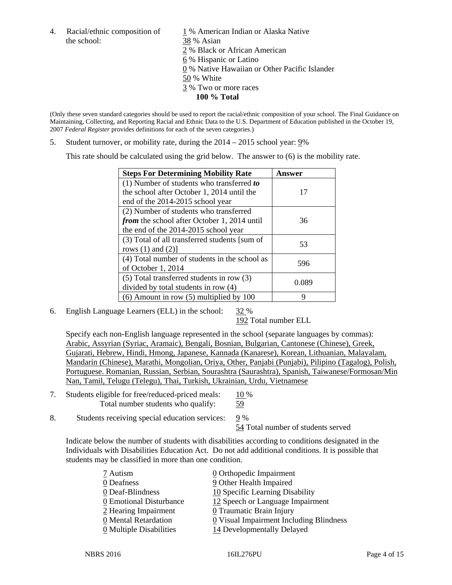the school: 38 % Asian

4. Racial/ethnic composition of  $1\%$  American Indian or Alaska Native 2 % Black or African American 6 % Hispanic or Latino 0 % Native Hawaiian or Other Pacific Islander 50 % White 3 % Two or more races **100 % Total** 

(Only these seven standard categories should be used to report the racial/ethnic composition of your school. The Final Guidance on Maintaining, Collecting, and Reporting Racial and Ethnic Data to the U.S. Department of Education published in the October 19, 2007 *Federal Register* provides definitions for each of the seven categories.)

5. Student turnover, or mobility rate, during the  $2014 - 2015$  school year:  $9\%$ 

This rate should be calculated using the grid below. The answer to (6) is the mobility rate.

| <b>Steps For Determining Mobility Rate</b>         | Answer |  |
|----------------------------------------------------|--------|--|
| $(1)$ Number of students who transferred to        |        |  |
| the school after October 1, 2014 until the         | 17     |  |
| end of the 2014-2015 school year                   |        |  |
| (2) Number of students who transferred             |        |  |
| <i>from</i> the school after October 1, 2014 until | 36     |  |
| the end of the 2014-2015 school year               |        |  |
| (3) Total of all transferred students [sum of      | 53     |  |
| rows $(1)$ and $(2)$ ]                             |        |  |
| (4) Total number of students in the school as      | 596    |  |
| of October 1, 2014                                 |        |  |
| (5) Total transferred students in row (3)          | 0.089  |  |
| divided by total students in row (4)               |        |  |
| $(6)$ Amount in row $(5)$ multiplied by 100        | 9      |  |

6. English Language Learners (ELL) in the school: 32 %

192 Total number ELL

 Specify each non-English language represented in the school (separate languages by commas): Arabic, Assyrian (Syriac, Aramaic), Bengali, Bosnian, Bulgarian, Cantonese (Chinese), Greek, Gujarati, Hebrew, Hindi, Hmong, Japanese, Kannada (Kanarese), Korean, Lithuanian, Malayalam, Mandarin (Chinese), Marathi, Mongolian, Oriya, Other, Panjabi (Punjabi), Pilipino (Tagalog), Polish, Portuguese. Romanian, Russian, Serbian, Sourashtra (Saurashtra), Spanish, Taiwanese/Formosan/Min Nan, Tamil, Telugu (Telegu), Thai, Turkish, Ukrainian, Urdu, Vietnamese

7. Students eligible for free/reduced-priced meals: 10 % Total number students who qualify: 59

8. Students receiving special education services: 9 %

54 Total number of students served

Indicate below the number of students with disabilities according to conditions designated in the Individuals with Disabilities Education Act. Do not add additional conditions. It is possible that students may be classified in more than one condition.

| 7 Autism                              | 0 Orthopedic Impairment                 |
|---------------------------------------|-----------------------------------------|
| 0 Deafness                            | 9 Other Health Impaired                 |
| 0 Deaf-Blindness                      | 10 Specific Learning Disability         |
| 0 Emotional Disturbance               | 12 Speech or Language Impairment        |
| 2 Hearing Impairment                  | 0 Traumatic Brain Injury                |
| 0 Mental Retardation                  | 0 Visual Impairment Including Blindness |
| $\underline{0}$ Multiple Disabilities | 14 Developmentally Delayed              |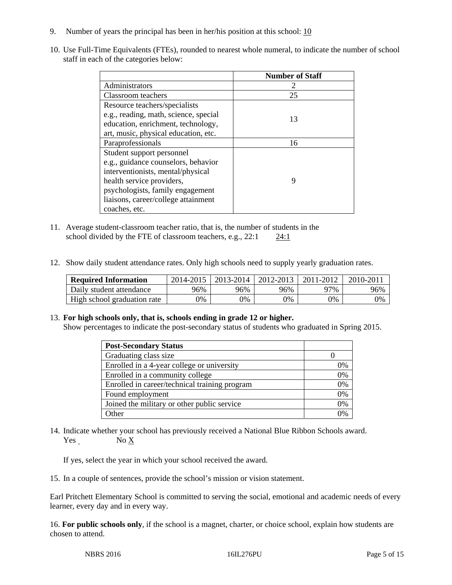- 9. Number of years the principal has been in her/his position at this school:  $\frac{10}{10}$
- 10. Use Full-Time Equivalents (FTEs), rounded to nearest whole numeral, to indicate the number of school staff in each of the categories below:

|                                       | <b>Number of Staff</b> |
|---------------------------------------|------------------------|
| Administrators                        |                        |
| Classroom teachers                    | 25                     |
| Resource teachers/specialists         |                        |
| e.g., reading, math, science, special | 13                     |
| education, enrichment, technology,    |                        |
| art, music, physical education, etc.  |                        |
| Paraprofessionals                     | 16                     |
| Student support personnel             |                        |
| e.g., guidance counselors, behavior   |                        |
| interventionists, mental/physical     |                        |
| health service providers,             | Q                      |
| psychologists, family engagement      |                        |
| liaisons, career/college attainment   |                        |
| coaches, etc.                         |                        |

- 11. Average student-classroom teacher ratio, that is, the number of students in the school divided by the FTE of classroom teachers, e.g.,  $22:1$  24:1
- 12. Show daily student attendance rates. Only high schools need to supply yearly graduation rates.

| <b>Required Information</b> | 2014-2015 | 2013-2014 | 2012-2013 | 2011-2012 | $2010 - 201$ |
|-----------------------------|-----------|-----------|-----------|-----------|--------------|
| Daily student attendance    | 96%       | 96%       | 96%       | 97%       | 96%          |
| High school graduation rate | 9%        | 0%        | 0%        | 9%        | 0%           |

#### 13. **For high schools only, that is, schools ending in grade 12 or higher.**

Show percentages to indicate the post-secondary status of students who graduated in Spring 2015.

| <b>Post-Secondary Status</b>                  |    |
|-----------------------------------------------|----|
| Graduating class size                         |    |
| Enrolled in a 4-year college or university    | 0% |
| Enrolled in a community college               | 0% |
| Enrolled in career/technical training program | 0% |
| Found employment                              | 0% |
| Joined the military or other public service   | 0% |
| )ther                                         | ገ% |

14. Indicate whether your school has previously received a National Blue Ribbon Schools award. Yes No X

If yes, select the year in which your school received the award.

15. In a couple of sentences, provide the school's mission or vision statement.

Earl Pritchett Elementary School is committed to serving the social, emotional and academic needs of every learner, every day and in every way.

16. **For public schools only**, if the school is a magnet, charter, or choice school, explain how students are chosen to attend.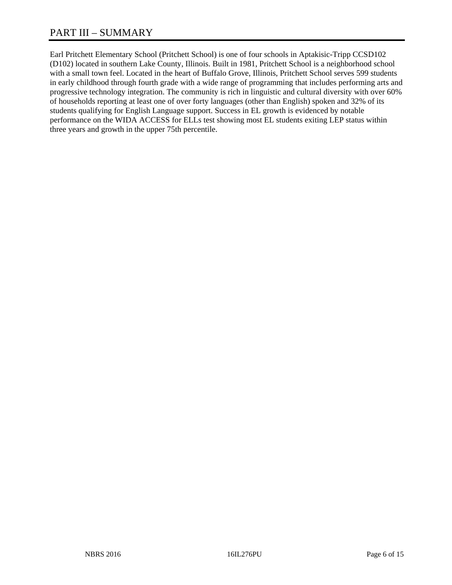Earl Pritchett Elementary School (Pritchett School) is one of four schools in Aptakisic-Tripp CCSD102 (D102) located in southern Lake County, Illinois. Built in 1981, Pritchett School is a neighborhood school with a small town feel. Located in the heart of Buffalo Grove, Illinois, Pritchett School serves 599 students in early childhood through fourth grade with a wide range of programming that includes performing arts and progressive technology integration. The community is rich in linguistic and cultural diversity with over 60% of households reporting at least one of over forty languages (other than English) spoken and 32% of its students qualifying for English Language support. Success in EL growth is evidenced by notable performance on the WIDA ACCESS for ELLs test showing most EL students exiting LEP status within three years and growth in the upper 75th percentile.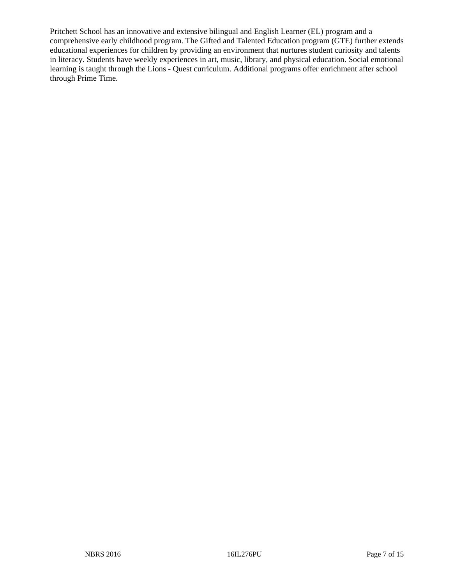Pritchett School has an innovative and extensive bilingual and English Learner (EL) program and a comprehensive early childhood program. The Gifted and Talented Education program (GTE) further extends educational experiences for children by providing an environment that nurtures student curiosity and talents in literacy. Students have weekly experiences in art, music, library, and physical education. Social emotional learning is taught through the Lions - Quest curriculum. Additional programs offer enrichment after school through Prime Time.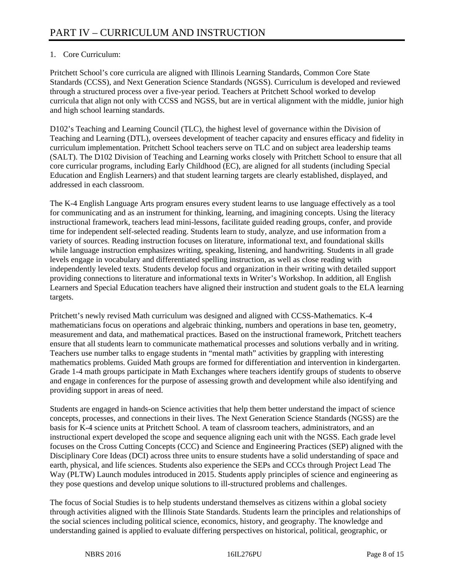# 1. Core Curriculum:

Pritchett School's core curricula are aligned with Illinois Learning Standards, Common Core State Standards (CCSS), and Next Generation Science Standards (NGSS). Curriculum is developed and reviewed through a structured process over a five-year period. Teachers at Pritchett School worked to develop curricula that align not only with CCSS and NGSS, but are in vertical alignment with the middle, junior high and high school learning standards.

D102's Teaching and Learning Council (TLC), the highest level of governance within the Division of Teaching and Learning (DTL), oversees development of teacher capacity and ensures efficacy and fidelity in curriculum implementation. Pritchett School teachers serve on TLC and on subject area leadership teams (SALT). The D102 Division of Teaching and Learning works closely with Pritchett School to ensure that all core curricular programs, including Early Childhood (EC), are aligned for all students (including Special Education and English Learners) and that student learning targets are clearly established, displayed, and addressed in each classroom.

The K-4 English Language Arts program ensures every student learns to use language effectively as a tool for communicating and as an instrument for thinking, learning, and imagining concepts. Using the literacy instructional framework, teachers lead mini-lessons, facilitate guided reading groups, confer, and provide time for independent self-selected reading. Students learn to study, analyze, and use information from a variety of sources. Reading instruction focuses on literature, informational text, and foundational skills while language instruction emphasizes writing, speaking, listening, and handwriting. Students in all grade levels engage in vocabulary and differentiated spelling instruction, as well as close reading with independently leveled texts. Students develop focus and organization in their writing with detailed support providing connections to literature and informational texts in Writer's Workshop. In addition, all English Learners and Special Education teachers have aligned their instruction and student goals to the ELA learning targets.

Pritchett's newly revised Math curriculum was designed and aligned with CCSS-Mathematics. K-4 mathematicians focus on operations and algebraic thinking, numbers and operations in base ten, geometry, measurement and data, and mathematical practices. Based on the instructional framework, Pritchett teachers ensure that all students learn to communicate mathematical processes and solutions verbally and in writing. Teachers use number talks to engage students in "mental math" activities by grappling with interesting mathematics problems. Guided Math groups are formed for differentiation and intervention in kindergarten. Grade 1-4 math groups participate in Math Exchanges where teachers identify groups of students to observe and engage in conferences for the purpose of assessing growth and development while also identifying and providing support in areas of need.

Students are engaged in hands-on Science activities that help them better understand the impact of science concepts, processes, and connections in their lives. The Next Generation Science Standards (NGSS) are the basis for K-4 science units at Pritchett School. A team of classroom teachers, administrators, and an instructional expert developed the scope and sequence aligning each unit with the NGSS. Each grade level focuses on the Cross Cutting Concepts (CCC) and Science and Engineering Practices (SEP) aligned with the Disciplinary Core Ideas (DCI) across three units to ensure students have a solid understanding of space and earth, physical, and life sciences. Students also experience the SEPs and CCCs through Project Lead The Way (PLTW) Launch modules introduced in 2015. Students apply principles of science and engineering as they pose questions and develop unique solutions to ill-structured problems and challenges.

The focus of Social Studies is to help students understand themselves as citizens within a global society through activities aligned with the Illinois State Standards. Students learn the principles and relationships of the social sciences including political science, economics, history, and geography. The knowledge and understanding gained is applied to evaluate differing perspectives on historical, political, geographic, or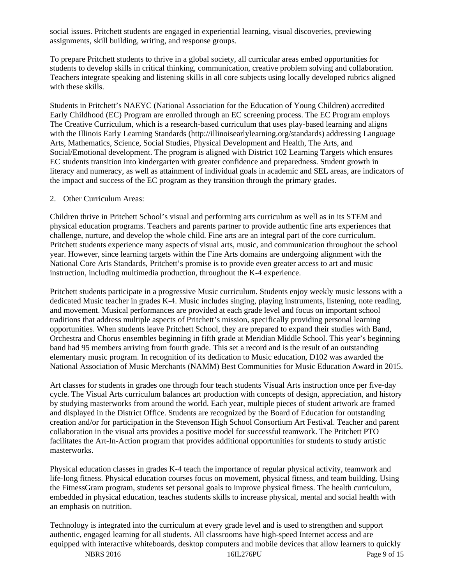social issues. Pritchett students are engaged in experiential learning, visual discoveries, previewing assignments, skill building, writing, and response groups.

To prepare Pritchett students to thrive in a global society, all curricular areas embed opportunities for students to develop skills in critical thinking, communication, creative problem solving and collaboration. Teachers integrate speaking and listening skills in all core subjects using locally developed rubrics aligned with these skills.

Students in Pritchett's NAEYC (National Association for the Education of Young Children) accredited Early Childhood (EC) Program are enrolled through an EC screening process. The EC Program employs The Creative Curriculum, which is a research-based curriculum that uses play-based learning and aligns with the Illinois Early Learning Standards (http://illinoisearlylearning.org/standards) addressing Language Arts, Mathematics, Science, Social Studies, Physical Development and Health, The Arts, and Social/Emotional development. The program is aligned with District 102 Learning Targets which ensures EC students transition into kindergarten with greater confidence and preparedness. Student growth in literacy and numeracy, as well as attainment of individual goals in academic and SEL areas, are indicators of the impact and success of the EC program as they transition through the primary grades.

## 2. Other Curriculum Areas:

Children thrive in Pritchett School's visual and performing arts curriculum as well as in its STEM and physical education programs. Teachers and parents partner to provide authentic fine arts experiences that challenge, nurture, and develop the whole child. Fine arts are an integral part of the core curriculum. Pritchett students experience many aspects of visual arts, music, and communication throughout the school year. However, since learning targets within the Fine Arts domains are undergoing alignment with the National Core Arts Standards, Pritchett's promise is to provide even greater access to art and music instruction, including multimedia production, throughout the K-4 experience.

Pritchett students participate in a progressive Music curriculum. Students enjoy weekly music lessons with a dedicated Music teacher in grades K-4. Music includes singing, playing instruments, listening, note reading, and movement. Musical performances are provided at each grade level and focus on important school traditions that address multiple aspects of Pritchett's mission, specifically providing personal learning opportunities. When students leave Pritchett School, they are prepared to expand their studies with Band, Orchestra and Chorus ensembles beginning in fifth grade at Meridian Middle School. This year's beginning band had 95 members arriving from fourth grade. This set a record and is the result of an outstanding elementary music program. In recognition of its dedication to Music education, D102 was awarded the National Association of Music Merchants (NAMM) Best Communities for Music Education Award in 2015.

Art classes for students in grades one through four teach students Visual Arts instruction once per five-day cycle. The Visual Arts curriculum balances art production with concepts of design, appreciation, and history by studying masterworks from around the world. Each year, multiple pieces of student artwork are framed and displayed in the District Office. Students are recognized by the Board of Education for outstanding creation and/or for participation in the Stevenson High School Consortium Art Festival. Teacher and parent collaboration in the visual arts provides a positive model for successful teamwork. The Pritchett PTO facilitates the Art-In-Action program that provides additional opportunities for students to study artistic masterworks.

Physical education classes in grades K-4 teach the importance of regular physical activity, teamwork and life-long fitness. Physical education courses focus on movement, physical fitness, and team building. Using the FitnessGram program, students set personal goals to improve physical fitness. The health curriculum, embedded in physical education, teaches students skills to increase physical, mental and social health with an emphasis on nutrition.

Technology is integrated into the curriculum at every grade level and is used to strengthen and support authentic, engaged learning for all students. All classrooms have high-speed Internet access and are equipped with interactive whiteboards, desktop computers and mobile devices that allow learners to quickly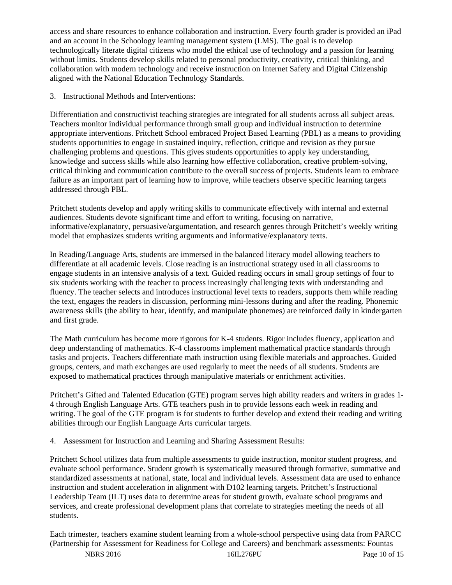access and share resources to enhance collaboration and instruction. Every fourth grader is provided an iPad and an account in the Schoology learning management system (LMS). The goal is to develop technologically literate digital citizens who model the ethical use of technology and a passion for learning without limits. Students develop skills related to personal productivity, creativity, critical thinking, and collaboration with modern technology and receive instruction on Internet Safety and Digital Citizenship aligned with the National Education Technology Standards.

3. Instructional Methods and Interventions:

Differentiation and constructivist teaching strategies are integrated for all students across all subject areas. Teachers monitor individual performance through small group and individual instruction to determine appropriate interventions. Pritchett School embraced Project Based Learning (PBL) as a means to providing students opportunities to engage in sustained inquiry, reflection, critique and revision as they pursue challenging problems and questions. This gives students opportunities to apply key understanding, knowledge and success skills while also learning how effective collaboration, creative problem-solving, critical thinking and communication contribute to the overall success of projects. Students learn to embrace failure as an important part of learning how to improve, while teachers observe specific learning targets addressed through PBL.

Pritchett students develop and apply writing skills to communicate effectively with internal and external audiences. Students devote significant time and effort to writing, focusing on narrative, informative/explanatory, persuasive/argumentation, and research genres through Pritchett's weekly writing model that emphasizes students writing arguments and informative/explanatory texts.

In Reading/Language Arts, students are immersed in the balanced literacy model allowing teachers to differentiate at all academic levels. Close reading is an instructional strategy used in all classrooms to engage students in an intensive analysis of a text. Guided reading occurs in small group settings of four to six students working with the teacher to process increasingly challenging texts with understanding and fluency. The teacher selects and introduces instructional level texts to readers, supports them while reading the text, engages the readers in discussion, performing mini-lessons during and after the reading. Phonemic awareness skills (the ability to hear, identify, and manipulate phonemes) are reinforced daily in kindergarten and first grade.

The Math curriculum has become more rigorous for K-4 students. Rigor includes fluency, application and deep understanding of mathematics. K-4 classrooms implement mathematical practice standards through tasks and projects. Teachers differentiate math instruction using flexible materials and approaches. Guided groups, centers, and math exchanges are used regularly to meet the needs of all students. Students are exposed to mathematical practices through manipulative materials or enrichment activities.

Pritchett's Gifted and Talented Education (GTE) program serves high ability readers and writers in grades 1- 4 through English Language Arts. GTE teachers push in to provide lessons each week in reading and writing. The goal of the GTE program is for students to further develop and extend their reading and writing abilities through our English Language Arts curricular targets.

4. Assessment for Instruction and Learning and Sharing Assessment Results:

Pritchett School utilizes data from multiple assessments to guide instruction, monitor student progress, and evaluate school performance. Student growth is systematically measured through formative, summative and standardized assessments at national, state, local and individual levels. Assessment data are used to enhance instruction and student acceleration in alignment with D102 learning targets. Pritchett's Instructional Leadership Team (ILT) uses data to determine areas for student growth, evaluate school programs and services, and create professional development plans that correlate to strategies meeting the needs of all students.

Each trimester, teachers examine student learning from a whole-school perspective using data from PARCC (Partnership for Assessment for Readiness for College and Careers) and benchmark assessments: Fountas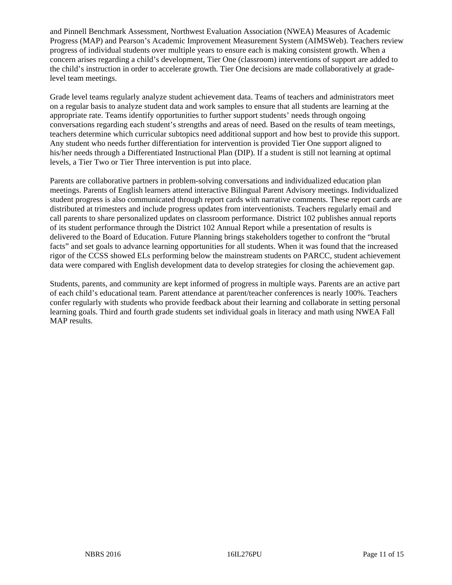and Pinnell Benchmark Assessment, Northwest Evaluation Association (NWEA) Measures of Academic Progress (MAP) and Pearson's Academic Improvement Measurement System (AIMSWeb). Teachers review progress of individual students over multiple years to ensure each is making consistent growth. When a concern arises regarding a child's development, Tier One (classroom) interventions of support are added to the child's instruction in order to accelerate growth. Tier One decisions are made collaboratively at gradelevel team meetings.

Grade level teams regularly analyze student achievement data. Teams of teachers and administrators meet on a regular basis to analyze student data and work samples to ensure that all students are learning at the appropriate rate. Teams identify opportunities to further support students' needs through ongoing conversations regarding each student's strengths and areas of need. Based on the results of team meetings, teachers determine which curricular subtopics need additional support and how best to provide this support. Any student who needs further differentiation for intervention is provided Tier One support aligned to his/her needs through a Differentiated Instructional Plan (DIP). If a student is still not learning at optimal levels, a Tier Two or Tier Three intervention is put into place.

Parents are collaborative partners in problem-solving conversations and individualized education plan meetings. Parents of English learners attend interactive Bilingual Parent Advisory meetings. Individualized student progress is also communicated through report cards with narrative comments. These report cards are distributed at trimesters and include progress updates from interventionists. Teachers regularly email and call parents to share personalized updates on classroom performance. District 102 publishes annual reports of its student performance through the District 102 Annual Report while a presentation of results is delivered to the Board of Education. Future Planning brings stakeholders together to confront the "brutal facts" and set goals to advance learning opportunities for all students. When it was found that the increased rigor of the CCSS showed ELs performing below the mainstream students on PARCC, student achievement data were compared with English development data to develop strategies for closing the achievement gap.

Students, parents, and community are kept informed of progress in multiple ways. Parents are an active part of each child's educational team. Parent attendance at parent/teacher conferences is nearly 100%. Teachers confer regularly with students who provide feedback about their learning and collaborate in setting personal learning goals. Third and fourth grade students set individual goals in literacy and math using NWEA Fall MAP results.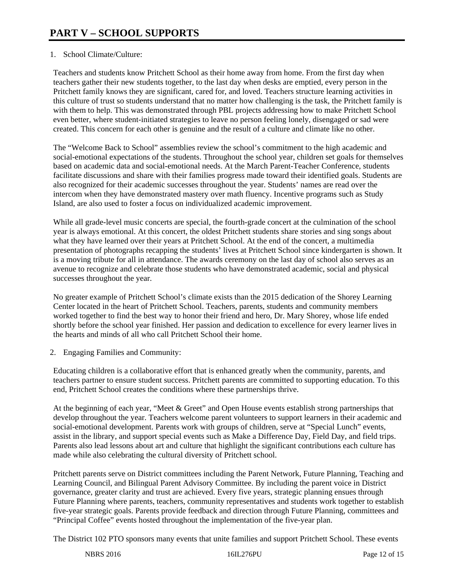# 1. School Climate/Culture:

Teachers and students know Pritchett School as their home away from home. From the first day when teachers gather their new students together, to the last day when desks are emptied, every person in the Pritchett family knows they are significant, cared for, and loved. Teachers structure learning activities in this culture of trust so students understand that no matter how challenging is the task, the Pritchett family is with them to help. This was demonstrated through PBL projects addressing how to make Pritchett School even better, where student-initiated strategies to leave no person feeling lonely, disengaged or sad were created. This concern for each other is genuine and the result of a culture and climate like no other.

The "Welcome Back to School" assemblies review the school's commitment to the high academic and social-emotional expectations of the students. Throughout the school year, children set goals for themselves based on academic data and social-emotional needs. At the March Parent-Teacher Conference, students facilitate discussions and share with their families progress made toward their identified goals. Students are also recognized for their academic successes throughout the year. Students' names are read over the intercom when they have demonstrated mastery over math fluency. Incentive programs such as Study Island, are also used to foster a focus on individualized academic improvement.

While all grade-level music concerts are special, the fourth-grade concert at the culmination of the school year is always emotional. At this concert, the oldest Pritchett students share stories and sing songs about what they have learned over their years at Pritchett School. At the end of the concert, a multimedia presentation of photographs recapping the students' lives at Pritchett School since kindergarten is shown. It is a moving tribute for all in attendance. The awards ceremony on the last day of school also serves as an avenue to recognize and celebrate those students who have demonstrated academic, social and physical successes throughout the year.

No greater example of Pritchett School's climate exists than the 2015 dedication of the Shorey Learning Center located in the heart of Pritchett School. Teachers, parents, students and community members worked together to find the best way to honor their friend and hero, Dr. Mary Shorey, whose life ended shortly before the school year finished. Her passion and dedication to excellence for every learner lives in the hearts and minds of all who call Pritchett School their home.

2. Engaging Families and Community:

Educating children is a collaborative effort that is enhanced greatly when the community, parents, and teachers partner to ensure student success. Pritchett parents are committed to supporting education. To this end, Pritchett School creates the conditions where these partnerships thrive.

At the beginning of each year, "Meet & Greet" and Open House events establish strong partnerships that develop throughout the year. Teachers welcome parent volunteers to support learners in their academic and social-emotional development. Parents work with groups of children, serve at "Special Lunch" events, assist in the library, and support special events such as Make a Difference Day, Field Day, and field trips. Parents also lead lessons about art and culture that highlight the significant contributions each culture has made while also celebrating the cultural diversity of Pritchett school.

Pritchett parents serve on District committees including the Parent Network, Future Planning, Teaching and Learning Council, and Bilingual Parent Advisory Committee. By including the parent voice in District governance, greater clarity and trust are achieved. Every five years, strategic planning ensues through Future Planning where parents, teachers, community representatives and students work together to establish five-year strategic goals. Parents provide feedback and direction through Future Planning, committees and "Principal Coffee" events hosted throughout the implementation of the five-year plan.

The District 102 PTO sponsors many events that unite families and support Pritchett School. These events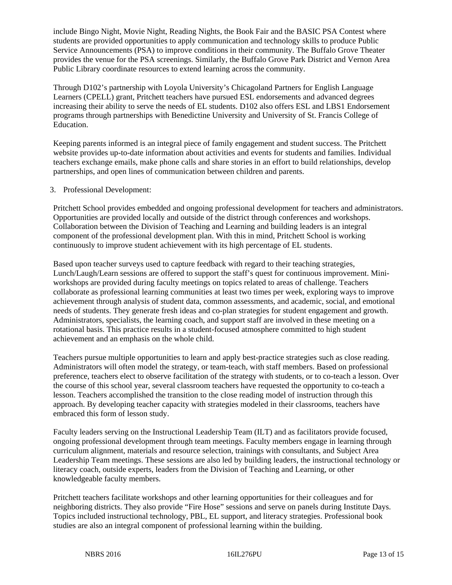include Bingo Night, Movie Night, Reading Nights, the Book Fair and the BASIC PSA Contest where students are provided opportunities to apply communication and technology skills to produce Public Service Announcements (PSA) to improve conditions in their community. The Buffalo Grove Theater provides the venue for the PSA screenings. Similarly, the Buffalo Grove Park District and Vernon Area Public Library coordinate resources to extend learning across the community.

Through D102's partnership with Loyola University's Chicagoland Partners for English Language Learners (CPELL) grant, Pritchett teachers have pursued ESL endorsements and advanced degrees increasing their ability to serve the needs of EL students. D102 also offers ESL and LBS1 Endorsement programs through partnerships with Benedictine University and University of St. Francis College of Education.

Keeping parents informed is an integral piece of family engagement and student success. The Pritchett website provides up-to-date information about activities and events for students and families. Individual teachers exchange emails, make phone calls and share stories in an effort to build relationships, develop partnerships, and open lines of communication between children and parents.

# 3. Professional Development:

Pritchett School provides embedded and ongoing professional development for teachers and administrators. Opportunities are provided locally and outside of the district through conferences and workshops. Collaboration between the Division of Teaching and Learning and building leaders is an integral component of the professional development plan. With this in mind, Pritchett School is working continuously to improve student achievement with its high percentage of EL students.

Based upon teacher surveys used to capture feedback with regard to their teaching strategies, Lunch/Laugh/Learn sessions are offered to support the staff's quest for continuous improvement. Miniworkshops are provided during faculty meetings on topics related to areas of challenge. Teachers collaborate as professional learning communities at least two times per week, exploring ways to improve achievement through analysis of student data, common assessments, and academic, social, and emotional needs of students. They generate fresh ideas and co-plan strategies for student engagement and growth. Administrators, specialists, the learning coach, and support staff are involved in these meeting on a rotational basis. This practice results in a student-focused atmosphere committed to high student achievement and an emphasis on the whole child.

Teachers pursue multiple opportunities to learn and apply best-practice strategies such as close reading. Administrators will often model the strategy, or team-teach, with staff members. Based on professional preference, teachers elect to observe facilitation of the strategy with students, or to co-teach a lesson. Over the course of this school year, several classroom teachers have requested the opportunity to co-teach a lesson. Teachers accomplished the transition to the close reading model of instruction through this approach. By developing teacher capacity with strategies modeled in their classrooms, teachers have embraced this form of lesson study.

Faculty leaders serving on the Instructional Leadership Team (ILT) and as facilitators provide focused, ongoing professional development through team meetings. Faculty members engage in learning through curriculum alignment, materials and resource selection, trainings with consultants, and Subject Area Leadership Team meetings. These sessions are also led by building leaders, the instructional technology or literacy coach, outside experts, leaders from the Division of Teaching and Learning, or other knowledgeable faculty members.

Pritchett teachers facilitate workshops and other learning opportunities for their colleagues and for neighboring districts. They also provide "Fire Hose" sessions and serve on panels during Institute Days. Topics included instructional technology, PBL, EL support, and literacy strategies. Professional book studies are also an integral component of professional learning within the building.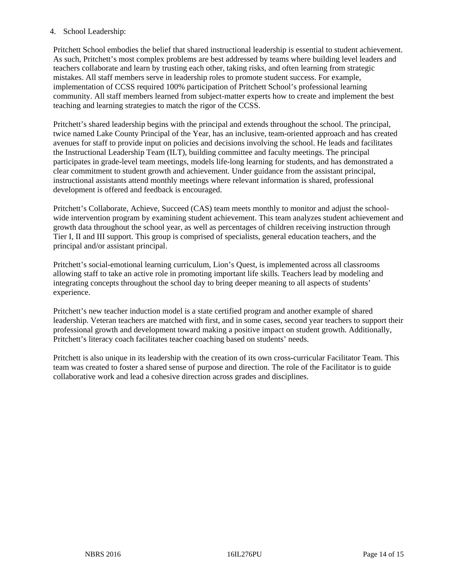# 4. School Leadership:

Pritchett School embodies the belief that shared instructional leadership is essential to student achievement. As such, Pritchett's most complex problems are best addressed by teams where building level leaders and teachers collaborate and learn by trusting each other, taking risks, and often learning from strategic mistakes. All staff members serve in leadership roles to promote student success. For example, implementation of CCSS required 100% participation of Pritchett School's professional learning community. All staff members learned from subject-matter experts how to create and implement the best teaching and learning strategies to match the rigor of the CCSS.

Pritchett's shared leadership begins with the principal and extends throughout the school. The principal, twice named Lake County Principal of the Year, has an inclusive, team-oriented approach and has created avenues for staff to provide input on policies and decisions involving the school. He leads and facilitates the Instructional Leadership Team (ILT), building committee and faculty meetings. The principal participates in grade-level team meetings, models life-long learning for students, and has demonstrated a clear commitment to student growth and achievement. Under guidance from the assistant principal, instructional assistants attend monthly meetings where relevant information is shared, professional development is offered and feedback is encouraged.

Pritchett's Collaborate, Achieve, Succeed (CAS) team meets monthly to monitor and adjust the schoolwide intervention program by examining student achievement. This team analyzes student achievement and growth data throughout the school year, as well as percentages of children receiving instruction through Tier I, II and III support. This group is comprised of specialists, general education teachers, and the principal and/or assistant principal.

Pritchett's social-emotional learning curriculum, Lion's Quest, is implemented across all classrooms allowing staff to take an active role in promoting important life skills. Teachers lead by modeling and integrating concepts throughout the school day to bring deeper meaning to all aspects of students' experience.

Pritchett's new teacher induction model is a state certified program and another example of shared leadership. Veteran teachers are matched with first, and in some cases, second year teachers to support their professional growth and development toward making a positive impact on student growth. Additionally, Pritchett's literacy coach facilitates teacher coaching based on students' needs.

Pritchett is also unique in its leadership with the creation of its own cross-curricular Facilitator Team. This team was created to foster a shared sense of purpose and direction. The role of the Facilitator is to guide collaborative work and lead a cohesive direction across grades and disciplines.